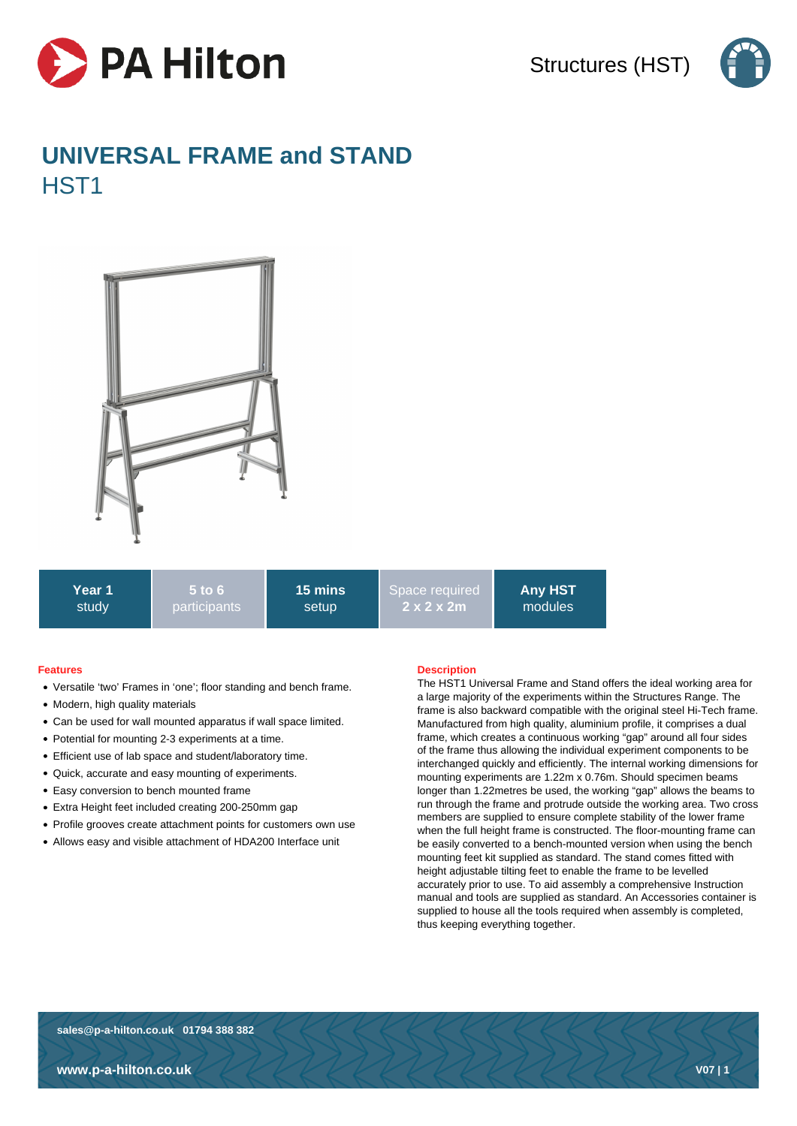

Structures (HST)



# **UNIVERSAL FRAME and STAND** HST1



**Year 1** study **5 to 6** participants **15 mins** setup

Space required **2 x 2 x 2m**

**Any HST** modules

## **Features**

- Versatile 'two' Frames in 'one'; floor standing and bench frame.
- Modern, high quality materials
- Can be used for wall mounted apparatus if wall space limited.
- Potential for mounting 2-3 experiments at a time.
- Efficient use of lab space and student/laboratory time.
- Quick, accurate and easy mounting of experiments.
- Easy conversion to bench mounted frame
- Extra Height feet included creating 200-250mm gap
- Profile grooves create attachment points for customers own use
- Allows easy and visible attachment of HDA200 Interface unit

## **Description**

The HST1 Universal Frame and Stand offers the ideal working area for a large majority of the experiments within the Structures Range. The frame is also backward compatible with the original steel Hi-Tech frame. Manufactured from high quality, aluminium profile, it comprises a dual frame, which creates a continuous working "gap" around all four sides of the frame thus allowing the individual experiment components to be interchanged quickly and efficiently. The internal working dimensions for mounting experiments are 1.22m x 0.76m. Should specimen beams longer than 1.22metres be used, the working "gap" allows the beams to run through the frame and protrude outside the working area. Two cross members are supplied to ensure complete stability of the lower frame when the full height frame is constructed. The floor-mounting frame can be easily converted to a bench-mounted version when using the bench mounting feet kit supplied as standard. The stand comes fitted with height adjustable tilting feet to enable the frame to be levelled accurately prior to use. To aid assembly a comprehensive Instruction manual and tools are supplied as standard. An Accessories container is supplied to house all the tools required when assembly is completed, thus keeping everything together.